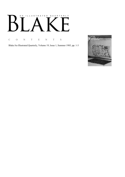# AN ILLUSTRATED QUARTERLY  $\boldsymbol{\beta}$  $\lceil$ T<br>1

C O N T E N T S

Blake/An Illustrated Quarterly, Volume 19, Issue 1, Summer 1985, pp. 1-3

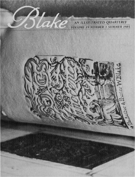AN ILLUSTRATED QUARTERLY VOLUME 19 NUMBER 1 SUMMER 1985



lake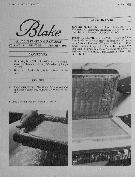

**AN ILLUSTRATED OUARTERLY VOLUM /9 NUMBER / UMMER /985** 

## **CONTENTS**

- 4 Recreating Blake's Illuminated Prints: The Facsimiles of the Manchester Etching Workshop by Joseph Viscomi
- 24 Blake in the Marketplace, 1984 by Robert N. Essick

#### **REVIEWS**

- 39 Manchester Etching Workshop, Songs of Innocence and Songs of Experience, reviewed by Robert N. Essick
- © 1985 Morris Eaves and Morton D. Paley



#### **CONTRIBUTORS**

**ROBERT N. ESSICK** is Professor of English at the University of California, Riverside. He is a frequent contributor to *Blake/An Illustrated Quarterly*.

**JOSEPH VISCOMI,** a former Mellon Fellow and Visiting Professor in Art History and English at Cornell, is an Assistant Professor of English at the University of North Carolina, Chapel Hill. He is also a printmaker and author of *Prints by William Blake and His Followers*, and is currently finishing a manuscript on Blake's idea of the Book.